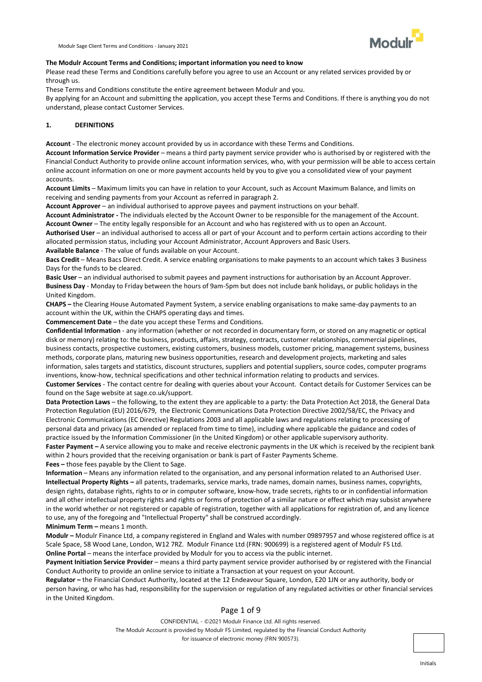

### **The Modulr Account Terms and Conditions; important information you need to know**

Please read these Terms and Conditions carefully before you agree to use an Account or any related services provided by or through us.

These Terms and Conditions constitute the entire agreement between Modulr and you.

By applying for an Account and submitting the application, you accept these Terms and Conditions. If there is anything you do not understand, please contact Customer Services.

### **1. DEFINITIONS**

**Account** - The electronic money account provided by us in accordance with these Terms and Conditions.

**Account Information Service Provider** – means a third party payment service provider who is authorised by or registered with the Financial Conduct Authority to provide online account information services, who, with your permission will be able to access certain online account information on one or more payment accounts held by you to give you a consolidated view of your payment accounts.

**Account Limits** – Maximum limits you can have in relation to your Account, such as Account Maximum Balance, and limits on receiving and sending payments from your Account as referred in paragraph 2.

**Account Approver** – an individual authorised to approve payees and payment instructions on your behalf.

**Account Administrator -** The individuals elected by the Account Owner to be responsible for the management of the Account. **Account Owner** – The entity legally responsible for an Account and who has registered with us to open an Account.

**Authorised User** – an individual authorised to access all or part of your Account and to perform certain actions according to their allocated permission status, including your Account Administrator, Account Approvers and Basic Users.

**Available Balance** - The value of funds available on your Account.

**Bacs Credit** – Means Bacs Direct Credit. A service enabling organisations to make payments to an account which takes 3 Business Days for the funds to be cleared.

**Basic User** – an individual authorised to submit payees and payment instructions for authorisation by an Account Approver. **Business Day** - Monday to Friday between the hours of 9am-5pm but does not include bank holidays, or public holidays in the United Kingdom.

**CHAPS –** the Clearing House Automated Payment System, a service enabling organisations to make same-day payments to an account within the UK, within the CHAPS operating days and times.

**Commencement Date** – the date you accept these Terms and Conditions.

**Confidential Information** - any information (whether or not recorded in documentary form, or stored on any magnetic or optical disk or memory) relating to: the business, products, affairs, strategy, contracts, customer relationships, commercial pipelines, business contacts, prospective customers, existing customers, business models, customer pricing, management systems, business methods, corporate plans, maturing new business opportunities, research and development projects, marketing and sales information, sales targets and statistics, discount structures, suppliers and potential suppliers, source codes, computer programs inventions, know-how, technical specifications and other technical information relating to products and services.

**Customer Services** - The contact centre for dealing with queries about your Account. Contact details for Customer Services can be found on the Sage website at sage.co.uk/support.

**Data Protection Laws** – the following, to the extent they are applicable to a party: the Data Protection Act 2018, the General Data Protection Regulation (EU) 2016/679, the Electronic Communications Data Protection Directive 2002/58/EC, the Privacy and Electronic Communications (EC Directive) Regulations 2003 and all applicable laws and regulations relating to processing of personal data and privacy (as amended or replaced from time to time), including where applicable the guidance and codes of practice issued by the Information Commissioner (in the United Kingdom) or other applicable supervisory authority.

Faster Payment - A service allowing you to make and receive electronic payments in the UK which is received by the recipient bank within 2 hours provided that the receiving organisation or bank is part of Faster Payments Scheme.

**Fees –** those fees payable by the Client to Sage.

**Information** – Means any information related to the organisation, and any personal information related to an Authorised User. **Intellectual Property Rights –** all patents, trademarks, service marks, trade names, domain names, business names, copyrights, design rights, database rights, rights to or in computer software, know-how, trade secrets, rights to or in confidential information and all other intellectual property rights and rights or forms of protection of a similar nature or effect which may subsist anywhere in the world whether or not registered or capable of registration, together with all applications for registration of, and any licence to use, any of the foregoing and "Intellectual Property" shall be construed accordingly. **Minimum Term –** means 1 month.

**Modulr –** Modulr Finance Ltd, a company registered in England and Wales with number 09897957 and whose registered office is at Scale Space, 58 Wood Lane, London, W12 7RZ. Modulr Finance Ltd (FRN: 900699) is a registered agent of Modulr FS Ltd. **Online Portal** – means the interface provided by Modulr for you to access via the public internet.

**Payment Initiation Service Provider** – means a third party payment service provider authorised by or registered with the Financial Conduct Authority to provide an online service to initiate a Transaction at your request on your Account.

**Regulator –** the Financial Conduct Authority, located at the 12 Endeavour Square, London, E20 1JN or any authority, body or person having, or who has had, responsibility for the supervision or regulation of any regulated activities or other financial services in the United Kingdom.

# Page 1 of 9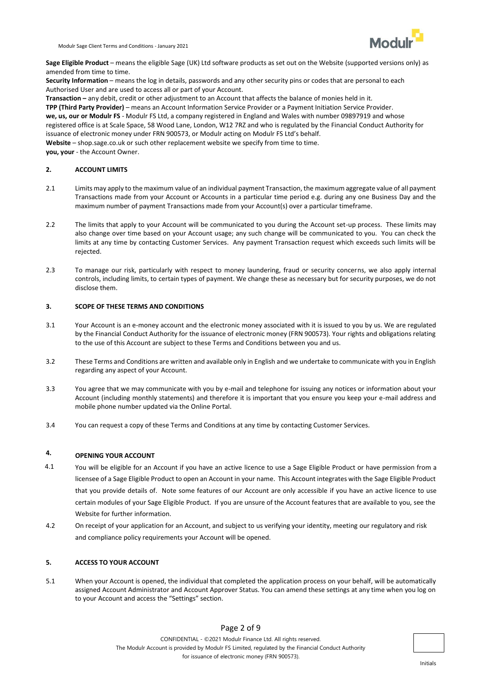

**Sage Eligible Product** – means the eligible Sage (UK) Ltd software products as set out on the Website (supported versions only) as amended from time to time.

**Security Information** – means the log in details, passwords and any other security pins or codes that are personal to each Authorised User and are used to access all or part of your Account.

**Transaction –** any debit, credit or other adjustment to an Account that affects the balance of monies held in it. **TPP (Third Party Provider)** – means an Account Information Service Provider or a Payment Initiation Service Provider. **we, us, our or Modulr FS** - Modulr FS Ltd, a company registered in England and Wales with number 09897919 and whose registered office is at Scale Space, 58 Wood Lane, London, W12 7RZ and who is regulated by the Financial Conduct Authority for issuance of electronic money under FRN 900573, or Modulr acting on Modulr FS Ltd's behalf. **Website** – shop.sage.co.uk or such other replacement website we specify from time to time. **you, your** - the Account Owner.

**2. ACCOUNT LIMITS**

- 2.1 Limits may apply to the maximum value of an individual payment Transaction, the maximum aggregate value of all payment Transactions made from your Account or Accounts in a particular time period e.g. during any one Business Day and the maximum number of payment Transactions made from your Account(s) over a particular timeframe.
- 2.2 The limits that apply to your Account will be communicated to you during the Account set-up process. These limits may also change over time based on your Account usage; any such change will be communicated to you. You can check the limits at any time by contacting Customer Services. Any payment Transaction request which exceeds such limits will be rejected.
- 2.3 To manage our risk, particularly with respect to money laundering, fraud or security concerns, we also apply internal controls, including limits, to certain types of payment. We change these as necessary but for security purposes, we do not disclose them.

## **3. SCOPE OF THESE TERMS AND CONDITIONS**

- 3.1 Your Account is an e-money account and the electronic money associated with it is issued to you by us. We are regulated by the Financial Conduct Authority for the issuance of electronic money (FRN 900573). Your rights and obligations relating to the use of this Account are subject to these Terms and Conditions between you and us.
- 3.2 These Terms and Conditions are written and available only in English and we undertake to communicate with you in English regarding any aspect of your Account.
- 3.3 You agree that we may communicate with you by e-mail and telephone for issuing any notices or information about your Account (including monthly statements) and therefore it is important that you ensure you keep your e-mail address and mobile phone number updated via the Online Portal.
- 3.4 You can request a copy of these Terms and Conditions at any time by contacting Customer Services.

#### **4. OPENING YOUR ACCOUNT**

- 4.1 You will be eligible for an Account if you have an active licence to use a Sage Eligible Product or have permission from a licensee of a Sage Eligible Product to open an Account in your name. This Account integrates with the Sage Eligible Product that you provide details of. Note some features of our Account are only accessible if you have an active licence to use certain modules of your Sage Eligible Product. If you are unsure of the Account features that are available to you, see the Website for further information.
- 4.2 On receipt of your application for an Account, and subject to us verifying your identity, meeting our regulatory and risk and compliance policy requirements your Account will be opened.

# **5. ACCESS TO YOUR ACCOUNT**

5.1 When your Account is opened, the individual that completed the application process on your behalf, will be automatically assigned Account Administrator and Account Approver Status. You can amend these settings at any time when you log on to your Account and access the "Settings" section.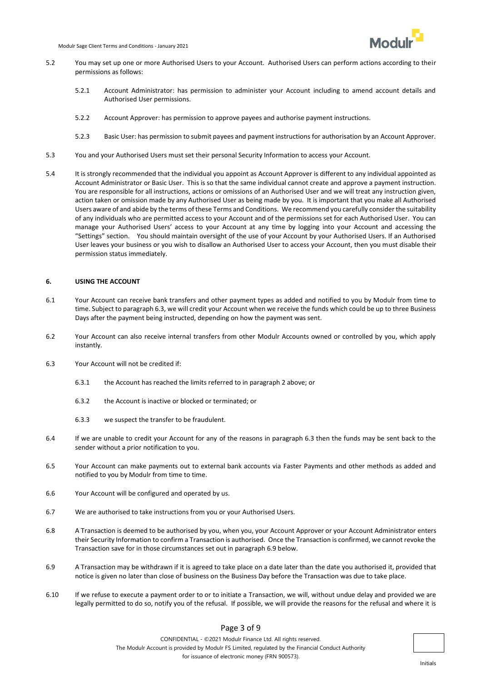

- 5.2 You may set up one or more Authorised Users to your Account. Authorised Users can perform actions according to their permissions as follows:
	- 5.2.1 Account Administrator: has permission to administer your Account including to amend account details and Authorised User permissions.
	- 5.2.2 Account Approver: has permission to approve payees and authorise payment instructions.
	- 5.2.3 Basic User: has permission to submit payees and payment instructions for authorisation by an Account Approver.
- 5.3 You and your Authorised Users must set their personal Security Information to access your Account.
- 5.4 It is strongly recommended that the individual you appoint as Account Approver is different to any individual appointed as Account Administrator or Basic User. This is so that the same individual cannot create and approve a payment instruction. You are responsible for all instructions, actions or omissions of an Authorised User and we will treat any instruction given, action taken or omission made by any Authorised User as being made by you. It is important that you make all Authorised Users aware of and abide by the terms of these Terms and Conditions. We recommend you carefully consider the suitability of any individuals who are permitted access to your Account and of the permissions set for each Authorised User. You can manage your Authorised Users' access to your Account at any time by logging into your Account and accessing the "Settings" section. You should maintain oversight of the use of your Account by your Authorised Users. If an Authorised User leaves your business or you wish to disallow an Authorised User to access your Account, then you must disable their permission status immediately.

## **6. USING THE ACCOUNT**

- 6.1 Your Account can receive bank transfers and other payment types as added and notified to you by Modulr from time to time. Subject to paragraph 6.3, we will credit your Account when we receive the funds which could be up to three Business Days after the payment being instructed, depending on how the payment was sent.
- 6.2 Your Account can also receive internal transfers from other Modulr Accounts owned or controlled by you, which apply instantly.
- 6.3 Your Account will not be credited if:
	- 6.3.1 the Account has reached the limits referred to in paragraph 2 above; or
	- 6.3.2 the Account is inactive or blocked or terminated; or
	- 6.3.3 we suspect the transfer to be fraudulent.
- 6.4 If we are unable to credit your Account for any of the reasons in paragraph 6.3 then the funds may be sent back to the sender without a prior notification to you.
- 6.5 Your Account can make payments out to external bank accounts via Faster Payments and other methods as added and notified to you by Modulr from time to time.
- 6.6 Your Account will be configured and operated by us.
- 6.7 We are authorised to take instructions from you or your Authorised Users.
- 6.8 A Transaction is deemed to be authorised by you, when you, your Account Approver or your Account Administrator enters their Security Information to confirm a Transaction is authorised. Once the Transaction is confirmed, we cannot revoke the Transaction save for in those circumstances set out in paragraph 6.9 below.
- 6.9 A Transaction may be withdrawn if it is agreed to take place on a date later than the date you authorised it, provided that notice is given no later than close of business on the Business Day before the Transaction was due to take place.
- 6.10 If we refuse to execute a payment order to or to initiate a Transaction, we will, without undue delay and provided we are legally permitted to do so, notify you of the refusal. If possible, we will provide the reasons for the refusal and where it is

# Page 3 of 9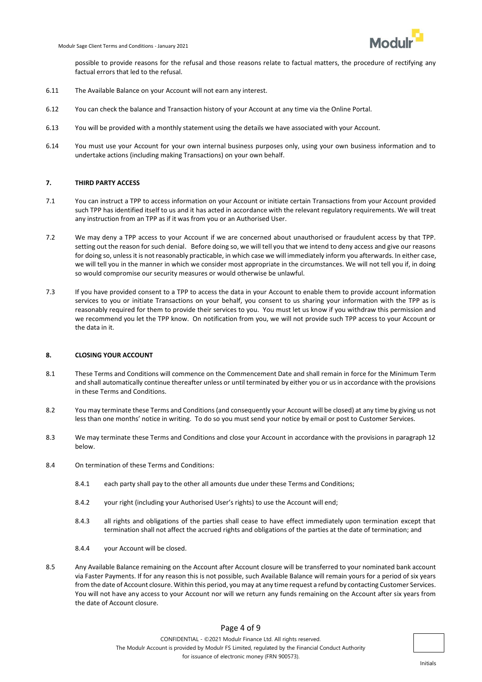possible to provide reasons for the refusal and those reasons relate to factual matters, the procedure of rectifying any factual errors that led to the refusal.

- 6.11 The Available Balance on your Account will not earn any interest.
- 6.12 You can check the balance and Transaction history of your Account at any time via the Online Portal.
- 6.13 You will be provided with a monthly statement using the details we have associated with your Account.
- 6.14 You must use your Account for your own internal business purposes only, using your own business information and to undertake actions (including making Transactions) on your own behalf.

#### **7. THIRD PARTY ACCESS**

- 7.1 You can instruct a TPP to access information on your Account or initiate certain Transactions from your Account provided such TPP has identified itself to us and it has acted in accordance with the relevant regulatory requirements. We will treat any instruction from an TPP as if it was from you or an Authorised User.
- 7.2 We may deny a TPP access to your Account if we are concerned about unauthorised or fraudulent access by that TPP. setting out the reason for such denial. Before doing so, we will tell you that we intend to deny access and give our reasons for doing so, unless it is not reasonably practicable, in which case we will immediately inform you afterwards. In either case, we will tell you in the manner in which we consider most appropriate in the circumstances. We will not tell you if, in doing so would compromise our security measures or would otherwise be unlawful.
- 7.3 If you have provided consent to a TPP to access the data in your Account to enable them to provide account information services to you or initiate Transactions on your behalf, you consent to us sharing your information with the TPP as is reasonably required for them to provide their services to you. You must let us know if you withdraw this permission and we recommend you let the TPP know. On notification from you, we will not provide such TPP access to your Account or the data in it.

#### **8. CLOSING YOUR ACCOUNT**

- 8.1 These Terms and Conditions will commence on the Commencement Date and shall remain in force for the Minimum Term and shall automatically continue thereafter unless or until terminated by either you or us in accordance with the provisions in these Terms and Conditions.
- 8.2 You may terminate these Terms and Conditions (and consequently your Account will be closed) at any time by giving us not less than one months' notice in writing. To do so you must send your notice by email or post to Customer Services.
- 8.3 We may terminate these Terms and Conditions and close your Account in accordance with the provisions in paragraph 12 below.
- 8.4 On termination of these Terms and Conditions:
	- 8.4.1 each party shall pay to the other all amounts due under these Terms and Conditions;
	- 8.4.2 your right (including your Authorised User's rights) to use the Account will end;
	- 8.4.3 all rights and obligations of the parties shall cease to have effect immediately upon termination except that termination shall not affect the accrued rights and obligations of the parties at the date of termination; and
	- 8.4.4 your Account will be closed.
- 8.5 Any Available Balance remaining on the Account after Account closure will be transferred to your nominated bank account via Faster Payments. If for any reason this is not possible, such Available Balance will remain yours for a period of six years from the date of Account closure. Within this period, you may at any time request a refund by contacting Customer Services. You will not have any access to your Account nor will we return any funds remaining on the Account after six years from the date of Account closure.

# Page 4 of 9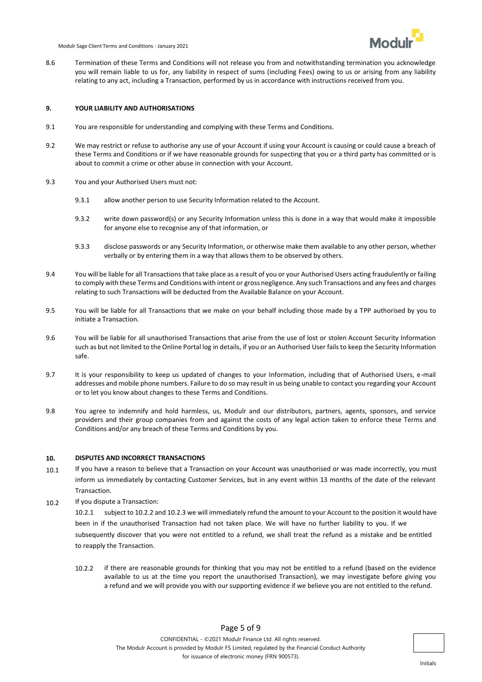

8.6 Termination of these Terms and Conditions will not release you from and notwithstanding termination you acknowledge you will remain liable to us for, any liability in respect of sums (including Fees) owing to us or arising from any liability relating to any act, including a Transaction, performed by us in accordance with instructions received from you.

#### **9. YOUR LIABILITY AND AUTHORISATIONS**

- 9.1 You are responsible for understanding and complying with these Terms and Conditions.
- 9.2 We may restrict or refuse to authorise any use of your Account if using your Account is causing or could cause a breach of these Terms and Conditions or if we have reasonable grounds for suspecting that you or a third party has committed or is about to commit a crime or other abuse in connection with your Account.
- 9.3 You and your Authorised Users must not:
	- 9.3.1 allow another person to use Security Information related to the Account.
	- 9.3.2 write down password(s) or any Security Information unless this is done in a way that would make it impossible for anyone else to recognise any of that information, or
	- 9.3.3 disclose passwords or any Security Information, or otherwise make them available to any other person, whether verbally or by entering them in a way that allows them to be observed by others.
- 9.4 You will be liable for all Transactions that take place as a result of you or your Authorised Users acting fraudulently or failing to comply with these Terms and Conditions with intent or gross negligence. Any such Transactions and any fees and charges relating to such Transactions will be deducted from the Available Balance on your Account.
- 9.5 You will be liable for all Transactions that we make on your behalf including those made by a TPP authorised by you to initiate a Transaction.
- 9.6 You will be liable for all unauthorised Transactions that arise from the use of lost or stolen Account Security Information such as but not limited to the Online Portal log in details, if you or an Authorised User fails to keep the Security Information safe.
- 9.7 It is your responsibility to keep us updated of changes to your Information, including that of Authorised Users, e-mail addresses and mobile phone numbers. Failure to do so may result in us being unable to contact you regarding your Account or to let you know about changes to these Terms and Conditions.
- 9.8 You agree to indemnify and hold harmless, us, Modulr and our distributors, partners, agents, sponsors, and service providers and their group companies from and against the costs of any legal action taken to enforce these Terms and Conditions and/or any breach of these Terms and Conditions by you.

#### **10. DISPUTES AND INCORRECT TRANSACTIONS**

- 10.1 If you have a reason to believe that a Transaction on your Account was unauthorised or was made incorrectly, you must inform us immediately by contacting Customer Services, but in any event within 13 months of the date of the relevant Transaction.
- 10.2 If you dispute a Transaction:

10.2.1 subject to 10.2.2 and 10.2.3 we will immediately refund the amount to your Account to the position it would have been in if the unauthorised Transaction had not taken place. We will have no further liability to you. If we subsequently discover that you were not entitled to a refund, we shall treat the refund as a mistake and be entitled to reapply the Transaction.

10.2.2 if there are reasonable grounds for thinking that you may not be entitled to a refund (based on the evidence available to us at the time you report the unauthorised Transaction), we may investigate before giving you a refund and we will provide you with our supporting evidence if we believe you are not entitled to the refund.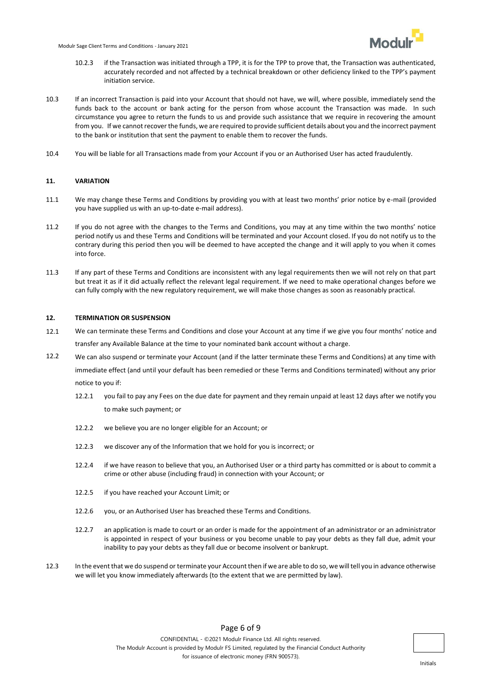

- 10.2.3 if the Transaction was initiated through a TPP, it is for the TPP to prove that, the Transaction was authenticated, accurately recorded and not affected by a technical breakdown or other deficiency linked to the TPP's payment initiation service.
- 10.3 If an incorrect Transaction is paid into your Account that should not have, we will, where possible, immediately send the funds back to the account or bank acting for the person from whose account the Transaction was made. In such circumstance you agree to return the funds to us and provide such assistance that we require in recovering the amount from you. If we cannot recover the funds, we are required to provide sufficient details about you and the incorrect payment to the bank or institution that sent the payment to enable them to recover the funds.
- 10.4 You will be liable for all Transactions made from your Account if you or an Authorised User has acted fraudulently.

## **11. VARIATION**

- 11.1 We may change these Terms and Conditions by providing you with at least two months' prior notice by e-mail (provided you have supplied us with an up-to-date e-mail address).
- 11.2 If you do not agree with the changes to the Terms and Conditions, you may at any time within the two months' notice period notify us and these Terms and Conditions will be terminated and your Account closed. If you do not notify us to the contrary during this period then you will be deemed to have accepted the change and it will apply to you when it comes into force.
- 11.3 If any part of these Terms and Conditions are inconsistent with any legal requirements then we will not rely on that part but treat it as if it did actually reflect the relevant legal requirement. If we need to make operational changes before we can fully comply with the new regulatory requirement, we will make those changes as soon as reasonably practical.

#### **12. TERMINATION OR SUSPENSION**

- 12.1 We can terminate these Terms and Conditions and close your Account at any time if we give you four months' notice and transfer any Available Balance at the time to your nominated bank account without a charge.
- 12.2 We can also suspend or terminate your Account (and if the latter terminate these Terms and Conditions) at any time with immediate effect (and until your default has been remedied or these Terms and Conditions terminated) without any prior notice to you if:
	- 12.2.1 you fail to pay any Fees on the due date for payment and they remain unpaid at least 12 days after we notify you to make such payment; or
	- 12.2.2 we believe you are no longer eligible for an Account; or
	- 12.2.3 we discover any of the Information that we hold for you is incorrect; or
	- 12.2.4 if we have reason to believe that you, an Authorised User or a third party has committed or is about to commit a crime or other abuse (including fraud) in connection with your Account; or
	- 12.2.5 if you have reached your Account Limit; or
	- 12.2.6 you, or an Authorised User has breached these Terms and Conditions.
	- 12.2.7 an application is made to court or an order is made for the appointment of an administrator or an administrator is appointed in respect of your business or you become unable to pay your debts as they fall due, admit your inability to pay your debts as they fall due or become insolvent or bankrupt.
- 12.3 In the event that we do suspend or terminate your Account then if we are able to do so, we will tell you in advance otherwise we will let you know immediately afterwards (to the extent that we are permitted by law).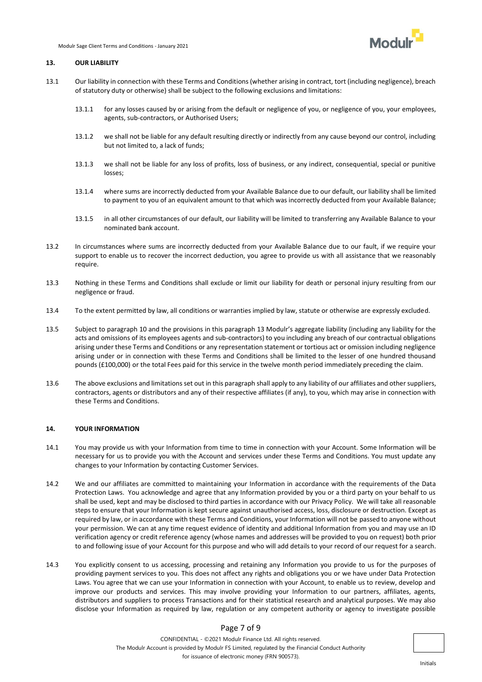

#### **13. OUR LIABILITY**

- 13.1 Our liability in connection with these Terms and Conditions (whether arising in contract, tort (including negligence), breach of statutory duty or otherwise) shall be subject to the following exclusions and limitations:
	- 13.1.1 for any losses caused by or arising from the default or negligence of you, or negligence of you, your employees, agents, sub-contractors, or Authorised Users;
	- 13.1.2 we shall not be liable for any default resulting directly or indirectly from any cause beyond our control, including but not limited to, a lack of funds;
	- 13.1.3 we shall not be liable for any loss of profits, loss of business, or any indirect, consequential, special or punitive losses;
	- 13.1.4 where sums are incorrectly deducted from your Available Balance due to our default, our liability shall be limited to payment to you of an equivalent amount to that which was incorrectly deducted from your Available Balance;
	- 13.1.5 in all other circumstances of our default, our liability will be limited to transferring any Available Balance to your nominated bank account.
- 13.2 In circumstances where sums are incorrectly deducted from your Available Balance due to our fault, if we require your support to enable us to recover the incorrect deduction, you agree to provide us with all assistance that we reasonably require.
- 13.3 Nothing in these Terms and Conditions shall exclude or limit our liability for death or personal injury resulting from our negligence or fraud.
- 13.4 To the extent permitted by law, all conditions or warranties implied by law, statute or otherwise are expressly excluded.
- 13.5 Subject to paragraph 10 and the provisions in this paragraph 13 Modulr's aggregate liability (including any liability for the acts and omissions of its employees agents and sub-contractors) to you including any breach of our contractual obligations arising under these Terms and Conditions or any representation statement or tortious act or omission including negligence arising under or in connection with these Terms and Conditions shall be limited to the lesser of one hundred thousand pounds (£100,000) or the total Fees paid for this service in the twelve month period immediately preceding the claim.
- 13.6 The above exclusions and limitations set out in this paragraph shall apply to any liability of our affiliates and other suppliers, contractors, agents or distributors and any of their respective affiliates (if any), to you, which may arise in connection with these Terms and Conditions.

#### **14. YOUR INFORMATION**

- 14.1 You may provide us with your Information from time to time in connection with your Account. Some Information will be necessary for us to provide you with the Account and services under these Terms and Conditions. You must update any changes to your Information by contacting Customer Services.
- 14.2 We and our affiliates are committed to maintaining your Information in accordance with the requirements of the Data Protection Laws. You acknowledge and agree that any Information provided by you or a third party on your behalf to us shall be used, kept and may be disclosed to third parties in accordance with our Privacy Policy. We will take all reasonable steps to ensure that your Information is kept secure against unauthorised access, loss, disclosure or destruction. Except as required by law, or in accordance with these Terms and Conditions, your Information will not be passed to anyone without your permission. We can at any time request evidence of identity and additional Information from you and may use an ID verification agency or credit reference agency (whose names and addresses will be provided to you on request) both prior to and following issue of your Account for this purpose and who will add details to your record of our request for a search.
- 14.3 You explicitly consent to us accessing, processing and retaining any Information you provide to us for the purposes of providing payment services to you. This does not affect any rights and obligations you or we have under Data Protection Laws. You agree that we can use your Information in connection with your Account, to enable us to review, develop and improve our products and services. This may involve providing your Information to our partners, affiliates, agents, distributors and suppliers to process Transactions and for their statistical research and analytical purposes. We may also disclose your Information as required by law, regulation or any competent authority or agency to investigate possible

# Page 7 of 9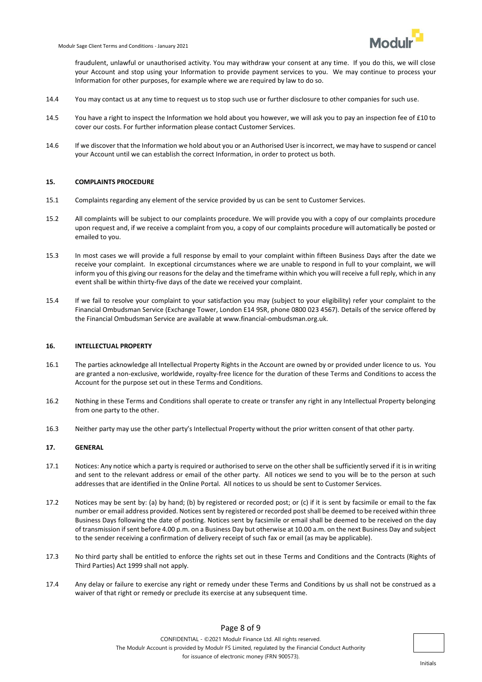fraudulent, unlawful or unauthorised activity. You may withdraw your consent at any time. If you do this, we will close your Account and stop using your Information to provide payment services to you. We may continue to process your Information for other purposes, for example where we are required by law to do so.

- 14.4 You may contact us at any time to request us to stop such use or further disclosure to other companies for such use.
- 14.5 You have a right to inspect the Information we hold about you however, we will ask you to pay an inspection fee of £10 to cover our costs. For further information please contact Customer Services.
- 14.6 If we discover that the Information we hold about you or an Authorised User is incorrect, we may have to suspend or cancel your Account until we can establish the correct Information, in order to protect us both.

### **15. COMPLAINTS PROCEDURE**

- 15.1 Complaints regarding any element of the service provided by us can be sent to Customer Services.
- 15.2 All complaints will be subject to our complaints procedure. We will provide you with a copy of our complaints procedure upon request and, if we receive a complaint from you, a copy of our complaints procedure will automatically be posted or emailed to you.
- 15.3 In most cases we will provide a full response by email to your complaint within fifteen Business Days after the date we receive your complaint. In exceptional circumstances where we are unable to respond in full to your complaint, we will inform you of this giving our reasons for the delay and the timeframe within which you will receive a full reply, which in any event shall be within thirty-five days of the date we received your complaint.
- 15.4 If we fail to resolve your complaint to your satisfaction you may (subject to your eligibility) refer your complaint to the Financial Ombudsman Service (Exchange Tower, London E14 9SR, phone 0800 023 4567). Details of the service offered by the Financial Ombudsman Service are available at www.financial-ombudsman.org.uk.

## **16. INTELLECTUAL PROPERTY**

- 16.1 The parties acknowledge all Intellectual Property Rights in the Account are owned by or provided under licence to us. You are granted a non-exclusive, worldwide, royalty-free licence for the duration of these Terms and Conditions to access the Account for the purpose set out in these Terms and Conditions.
- 16.2 Nothing in these Terms and Conditions shall operate to create or transfer any right in any Intellectual Property belonging from one party to the other.
- 16.3 Neither party may use the other party's Intellectual Property without the prior written consent of that other party.

### **17. GENERAL**

- 17.1 Notices: Any notice which a party is required or authorised to serve on the other shall be sufficiently served if it is in writing and sent to the relevant address or email of the other party. All notices we send to you will be to the person at such addresses that are identified in the Online Portal. All notices to us should be sent to Customer Services.
- 17.2 Notices may be sent by: (a) by hand; (b) by registered or recorded post; or (c) if it is sent by facsimile or email to the fax number or email address provided. Notices sent by registered or recorded post shall be deemed to be received within three Business Days following the date of posting. Notices sent by facsimile or email shall be deemed to be received on the day of transmission if sent before 4.00 p.m. on a Business Day but otherwise at 10.00 a.m. on the next Business Day and subject to the sender receiving a confirmation of delivery receipt of such fax or email (as may be applicable).
- 17.3 No third party shall be entitled to enforce the rights set out in these Terms and Conditions and the Contracts (Rights of Third Parties) Act 1999 shall not apply.
- 17.4 Any delay or failure to exercise any right or remedy under these Terms and Conditions by us shall not be construed as a waiver of that right or remedy or preclude its exercise at any subsequent time.